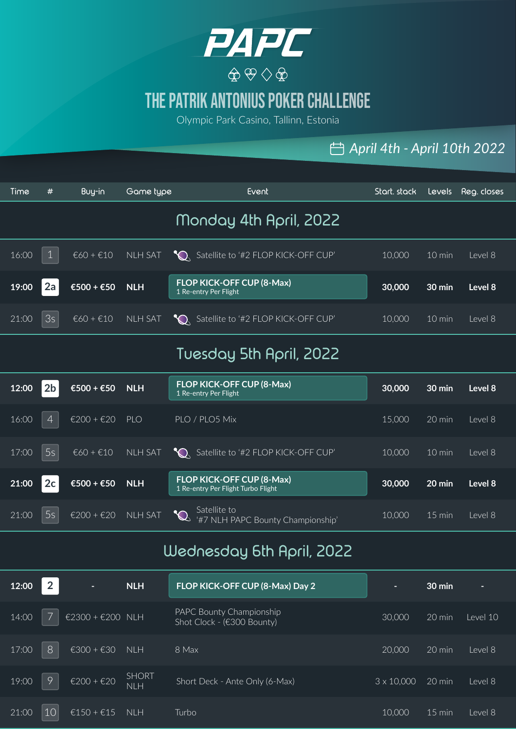

# The Patrik Antonius Poker Challenge

Olympic Park Casino, Tallinn, Estonia

#### *April 4th - April 10th 2022*

| Time  | #              | Buy-in      | Game type      | <b>Event</b>                                                           | Start. stack | Levels           | Reg. closes |
|-------|----------------|-------------|----------------|------------------------------------------------------------------------|--------------|------------------|-------------|
|       |                |             |                | Monday 4th April, 2022                                                 |              |                  |             |
| 16:00 |                | $€60 + €10$ | <b>NLH SAT</b> | Satellite to '#2 FLOP KICK-OFF CUP'                                    | 10,000       | 10 min           | Level 8     |
| 19:00 | 2a             | €500 + €50  | <b>NLH</b>     | <b>FLOP KICK-OFF CUP (8-Max)</b><br>1 Re-entry Per Flight              | 30,000       | $30 \text{ min}$ | Level 8     |
| 21:00 | 3s             | $€60 + €10$ | <b>NLH SAT</b> | C Satellite to '#2 FLOP KICK-OFF CUP'                                  | 10,000       | $10 \text{ min}$ | Level 8     |
|       |                |             |                | Tuesday 5th April, 2022                                                |              |                  |             |
| 12:00 | 2 <sub>b</sub> | €500 + €50  | <b>NLH</b>     | <b>FLOP KICK-OFF CUP (8-Max)</b><br>1 Re-entry Per Flight              | 30,000       | $30 \text{ min}$ | Level 8     |
| 16:00 | $\overline{4}$ | €200 + €20  | <b>PLO</b>     | PLO / PLO5 Mix                                                         | 15,000       | 20 min           | Level 8     |
| 17:00 | 5s             | $€60 + €10$ | <b>NLH SAT</b> | Satellite to '#2 FLOP KICK-OFF CUP'                                    | 10,000       | $10 \text{ min}$ | Level 8     |
| 21:00 | 2c             | €500 + €50  | <b>NLH</b>     | <b>FLOP KICK-OFF CUP (8-Max)</b><br>1 Re-entry Per Flight Turbo Flight | 30,000       | 20 min           | Level 8     |
| 21:00 | 5s             | €200 + €20  | <b>NLH SAT</b> | Satellite to<br>'#7 NLH PAPC Bounty Championship'                      | 10,000       | $15$ min         | Level 8     |

#### Wednesday 6th April, 2022

| 12:00 | $\overline{2}$ | н                | <b>NLH</b>                 | FLOP KICK-OFF CUP (8-Max) Day 2                        |                   | $30 \text{ min}$ | е        |
|-------|----------------|------------------|----------------------------|--------------------------------------------------------|-------------------|------------------|----------|
| 14:00 |                | €2300 + €200 NLH |                            | PAPC Bounty Championship<br>Shot Clock - (€300 Bounty) | 30,000            | 20 min           | Level 10 |
| 17:00 | 8              | €300 + €30       | <b>NLH</b>                 | 8 Max                                                  | 20,000            | $20 \text{ min}$ | Level 8  |
| 19:00 | 9              | €200 + $€20$     | <b>SHORT</b><br><b>NLH</b> | Short Deck - Ante Only (6-Max)                         | $3 \times 10,000$ | 20 min           | Level 8  |
| 21:00 | 10             | $£150 + £15$ NLH |                            | Turbo                                                  | 10,000            | $15 \text{ min}$ | Level 8  |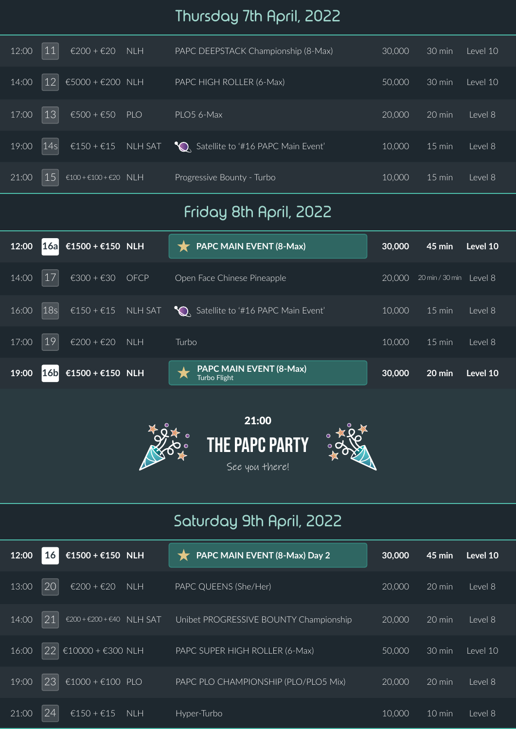# Thursday 7th April, 2022

| 12:00 | $\overline{11}$ | $£200 + £20$ NLH                                    | PAPC DEEPSTACK Championship (8-Max)                                          | 30,000 | $30 \text{ min}$ | Level 10 |
|-------|-----------------|-----------------------------------------------------|------------------------------------------------------------------------------|--------|------------------|----------|
| 14:00 | 12              | $€5000 + €200$ NLH                                  | PAPC HIGH ROLLER (6-Max)                                                     | 50,000 | $30 \text{ min}$ | Level 10 |
| 17:00 | 13              | $€500 + €50$ PLO                                    | PLO5 6-Max                                                                   | 20,000 | 20 min           | Level 8  |
| 19:00 | 14s             |                                                     | €150 + $\epsilon$ 15 NLH SAT $\bigcirc$ , Satellite to '#16 PAPC Main Event' | 10,000 | $15$ min         | Level 8  |
| 21:00 | 15              | $\epsilon$ 100 + $\epsilon$ 100 + $\epsilon$ 20 NLH | Progressive Bounty - Turbo                                                   | 10,000 | $15 \text{ min}$ | Level 8  |

# Friday 8th April, 2022

| 12:00 | 16a             | €1500 + €150 NLH  | <b>PAPC MAIN EVENT (8-Max)</b>                                     | 30,000 | $45$ min         | Level 10 |
|-------|-----------------|-------------------|--------------------------------------------------------------------|--------|------------------|----------|
| 14:00 | 17              | $€300 + €30$ OFCP | Open Face Chinese Pineapple                                        | 20.000 | 20 min / 30 min  | Level 8  |
| 16:00 | 18s             |                   | €150 + €15 NLH SAT $\bigotimes$ Satellite to '#16 PAPC Main Event' | 10,000 | $15 \text{ min}$ | Level 8  |
| 17:00 | 19              | $£200 + £20$ NLH  | Turbo                                                              | 10,000 | $15 \text{ min}$ | Level 8  |
| 19:00 | 16 <sub>b</sub> | €1500 + €150 NLH  | <b>PAPC MAIN EVENT (8-Max)</b><br>Turbo Flight                     | 30,000 | 20 min           | Level 10 |



### Saturday 9th April, 2022

| 12:00 | 16 | €1500 + €150 NLH                                        |            | PAPC MAIN EVENT (8-Max) Day 2          | 30,000 | $45$ min         | Level 10 |
|-------|----|---------------------------------------------------------|------------|----------------------------------------|--------|------------------|----------|
| 13:00 | 20 | $£200 + £20$                                            | <b>NLH</b> | PAPC QUEENS (She/Her)                  | 20,000 | 20 min           | Level 8  |
| 14:00 | 21 | $\epsilon$ 200 + $\epsilon$ 200 + $\epsilon$ 40 NLH SAT |            | Unibet PROGRESSIVE BOUNTY Championship | 20,000 | $20 \text{ min}$ | Level 8  |
| 16:00 | 22 | €10000 + €300 NLH                                       |            | PAPC SUPER HIGH ROLLER (6-Max)         | 50,000 | 30 min           | Level 10 |
| 19:00 | 23 | €1000 + €100 PLO                                        |            | PAPC PLO CHAMPIONSHIP (PLO/PLO5 Mix)   | 20,000 | 20 min           | Level 8  |
| 21:00 | 24 | €150 + $€15$                                            | <b>NLH</b> | Hyper-Turbo                            | 10,000 | 10 min           | Level 8  |